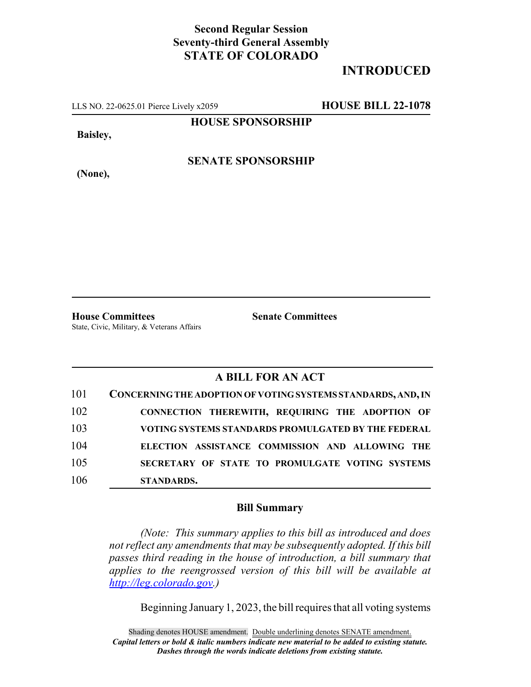## **Second Regular Session Seventy-third General Assembly STATE OF COLORADO**

## **INTRODUCED**

LLS NO. 22-0625.01 Pierce Lively x2059 **HOUSE BILL 22-1078**

**HOUSE SPONSORSHIP**

**Baisley,**

**SENATE SPONSORSHIP**

**(None),**

**House Committees Senate Committees** State, Civic, Military, & Veterans Affairs

## **A BILL FOR AN ACT**

| 101 | CONCERNING THE ADOPTION OF VOTING SYSTEMS STANDARDS, AND, IN |
|-----|--------------------------------------------------------------|
| 102 | CONNECTION THEREWITH, REQUIRING THE ADOPTION OF              |
| 103 | VOTING SYSTEMS STANDARDS PROMULGATED BY THE FEDERAL          |
| 104 | ELECTION ASSISTANCE COMMISSION AND ALLOWING THE              |
| 105 | SECRETARY OF STATE TO PROMULGATE VOTING SYSTEMS              |
| 106 | <b>STANDARDS.</b>                                            |

## **Bill Summary**

*(Note: This summary applies to this bill as introduced and does not reflect any amendments that may be subsequently adopted. If this bill passes third reading in the house of introduction, a bill summary that applies to the reengrossed version of this bill will be available at http://leg.colorado.gov.)*

Beginning January 1, 2023, the bill requires that all voting systems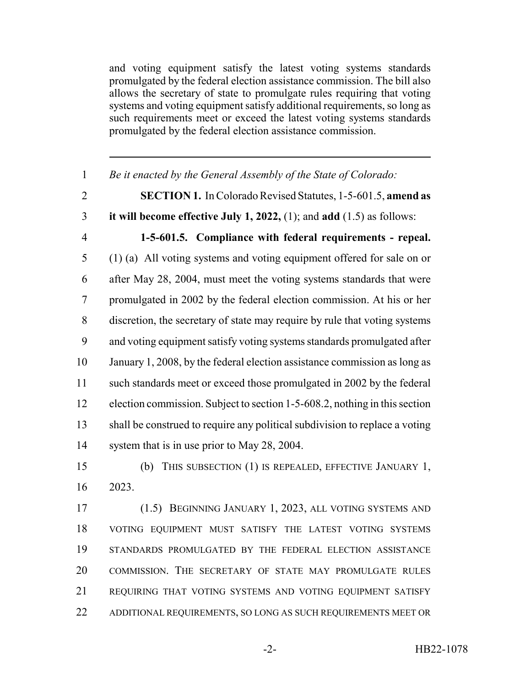and voting equipment satisfy the latest voting systems standards promulgated by the federal election assistance commission. The bill also allows the secretary of state to promulgate rules requiring that voting systems and voting equipment satisfy additional requirements, so long as such requirements meet or exceed the latest voting systems standards promulgated by the federal election assistance commission.

 *Be it enacted by the General Assembly of the State of Colorado:* **SECTION 1.** In Colorado Revised Statutes, 1-5-601.5, **amend as it will become effective July 1, 2022,** (1); and **add** (1.5) as follows: **1-5-601.5. Compliance with federal requirements - repeal.** (1) (a) All voting systems and voting equipment offered for sale on or after May 28, 2004, must meet the voting systems standards that were promulgated in 2002 by the federal election commission. At his or her discretion, the secretary of state may require by rule that voting systems and voting equipment satisfy voting systems standards promulgated after January 1, 2008, by the federal election assistance commission as long as such standards meet or exceed those promulgated in 2002 by the federal election commission. Subject to section 1-5-608.2, nothing in this section shall be construed to require any political subdivision to replace a voting system that is in use prior to May 28, 2004. (b) THIS SUBSECTION (1) IS REPEALED, EFFECTIVE JANUARY 1, 2023. (1.5) BEGINNING JANUARY 1, 2023, ALL VOTING SYSTEMS AND

 VOTING EQUIPMENT MUST SATISFY THE LATEST VOTING SYSTEMS STANDARDS PROMULGATED BY THE FEDERAL ELECTION ASSISTANCE COMMISSION. THE SECRETARY OF STATE MAY PROMULGATE RULES REQUIRING THAT VOTING SYSTEMS AND VOTING EQUIPMENT SATISFY ADDITIONAL REQUIREMENTS, SO LONG AS SUCH REQUIREMENTS MEET OR